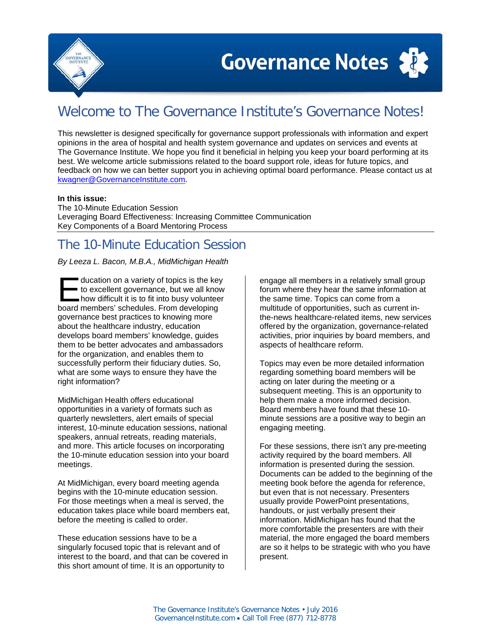

# Welcome to The Governance Institute's Governance Notes!

This newsletter is designed specifically for governance support professionals with information and expert opinions in the area of hospital and health system governance and updates on services and events at The Governance Institute. We hope you find it beneficial in helping you keep your board performing at its best. We welcome article submissions related to the board support role, ideas for future topics, and feedback on how we can better support you in achieving optimal board performance. Please contact us at [kwagner@GovernanceInstitute.com.](mailto:kwagner@GovernanceInstitute.com)

#### **In this issue:**

The 10-Minute Education Session Leveraging Board Effectiveness: Increasing Committee Communication Key Components of a Board Mentoring Process

## The 10-Minute Education Session

#### *By Leeza L. Bacon, M.B.A., MidMichigan Health*

ducation on a variety of topics is the key to excellent governance, but we all know **how difficult it is to fit into busy volunteer** ducation on a variety of topics is the key<br>to excellent governance, but we all know<br>how difficult it is to fit into busy voluntee<br>board members' schedules. From developing governance best practices to knowing more about the healthcare industry, education develops board members' knowledge, guides them to be better advocates and ambassadors for the organization, and enables them to successfully perform their fiduciary duties. So, what are some ways to ensure they have the right information?

MidMichigan Health offers educational opportunities in a variety of formats such as quarterly newsletters, alert emails of special interest, 10-minute education sessions, national speakers, annual retreats, reading materials, and more. This article focuses on incorporating the 10-minute education session into your board meetings.

At MidMichigan, every board meeting agenda begins with the 10-minute education session. For those meetings when a meal is served, the education takes place while board members eat, before the meeting is called to order.

These education sessions have to be a singularly focused topic that is relevant and of interest to the board, and that can be covered in this short amount of time. It is an opportunity to

engage all members in a relatively small group forum where they hear the same information at the same time. Topics can come from a multitude of opportunities, such as current inthe-news healthcare-related items, new services offered by the organization, governance-related activities, prior inquiries by board members, and aspects of healthcare reform.

Topics may even be more detailed information regarding something board members will be acting on later during the meeting or a subsequent meeting. This is an opportunity to help them make a more informed decision. Board members have found that these 10 minute sessions are a positive way to begin an engaging meeting.

For these sessions, there isn't any pre-meeting activity required by the board members. All information is presented during the session. Documents can be added to the beginning of the meeting book before the agenda for reference, but even that is not necessary. Presenters usually provide PowerPoint presentations, handouts, or just verbally present their information. MidMichigan has found that the more comfortable the presenters are with their material, the more engaged the board members are so it helps to be strategic with who you have present.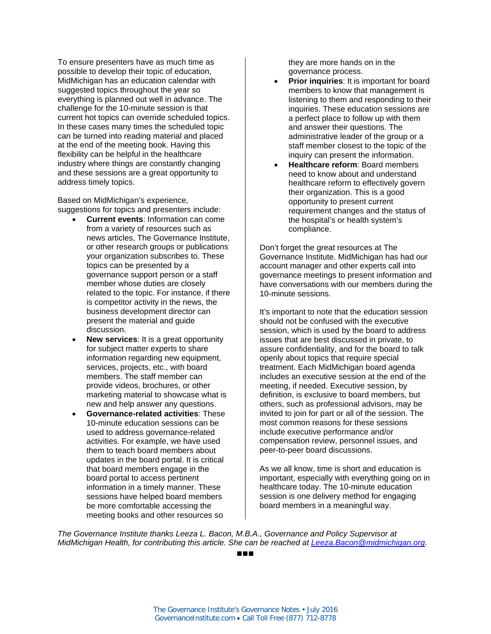To ensure presenters have as much time as possible to develop their topic of education, MidMichigan has an education calendar with suggested topics throughout the year so everything is planned out well in advance. The challenge for the 10-minute session is that current hot topics can override scheduled topics. In these cases many times the scheduled topic can be turned into reading material and placed at the end of the meeting book. Having this flexibility can be helpful in the healthcare industry where things are constantly changing and these sessions are a great opportunity to address timely topics.

Based on MidMichigan's experience, suggestions for topics and presenters include:

- **Current events**: Information can come from a variety of resources such as news articles, The Governance Institute, or other research groups or publications your organization subscribes to. These topics can be presented by a governance support person or a staff member whose duties are closely related to the topic. For instance, if there is competitor activity in the news, the business development director can present the material and guide discussion.
- **New services**: It is a great opportunity for subject matter experts to share information regarding new equipment, services, projects, etc., with board members. The staff member can provide videos, brochures, or other marketing material to showcase what is new and help answer any questions.
- **Governance-related activities**: These 10-minute education sessions can be used to address governance-related activities. For example, we have used them to teach board members about updates in the board portal. It is critical that board members engage in the board portal to access pertinent information in a timely manner. These sessions have helped board members be more comfortable accessing the meeting books and other resources so

they are more hands on in the governance process.

- **Prior inquiries**: It is important for board members to know that management is listening to them and responding to their inquiries. These education sessions are a perfect place to follow up with them and answer their questions. The administrative leader of the group or a staff member closest to the topic of the inquiry can present the information.
- **Healthcare reform**: Board members need to know about and understand healthcare reform to effectively govern their organization. This is a good opportunity to present current requirement changes and the status of the hospital's or health system's compliance.

Don't forget the great resources at The Governance Institute. MidMichigan has had our account manager and other experts call into governance meetings to present information and have conversations with our members during the 10-minute sessions.

It's important to note that the education session should not be confused with the executive session, which is used by the board to address issues that are best discussed in private, to assure confidentiality, and for the board to talk openly about topics that require special treatment. Each MidMichigan board agenda includes an executive session at the end of the meeting, if needed. Executive session, by definition, is exclusive to board members, but others, such as professional advisors, may be invited to join for part or all of the session. The most common reasons for these sessions include executive performance and/or compensation review, personnel issues, and peer-to-peer board discussions.

As we all know, time is short and education is important, especially with everything going on in healthcare today. The 10-minute education session is one delivery method for engaging board members in a meaningful way.

*The Governance Institute thanks Leeza L. Bacon, M.B.A., Governance and Policy Supervisor at MidMichigan Health, for contributing this article. She can be reached at [Leeza.Bacon@midmichigan.org.](mailto:Leeza.Bacon@midmichigan.org)*

■■■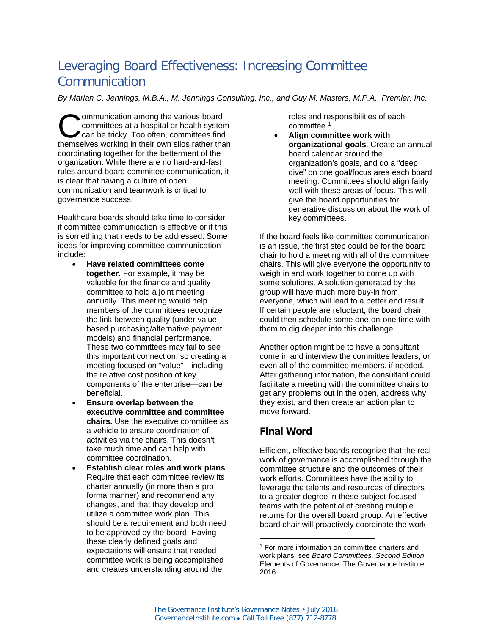## Leveraging Board Effectiveness: Increasing Committee Communication

*By Marian C. Jennings, M.B.A., M. Jennings Consulting, Inc., and Guy M. Masters, M.P.A., Premier, Inc.*

ommunication among the various board committees at a hospital or health system can be tricky. Too often, committees find **COMMUNISHERRY COMMUNISHERRY COMMUNISHERRY COMMUNISHERRY COMMUNISHERRY COMMUNISHERRY COMMUNISHERRY COMMUNISHERRY COMMUNISHERRY COMMUNISHERRY COMMUNISHERRY COMMUNISHERRY COMMUNISHERRY COMMUNISHERRY COMMUNISHERRY COMMUNISHER** coordinating together for the betterment of the organization. While there are no hard-and-fast rules around board committee communication, it is clear that having a culture of open communication and teamwork is critical to governance success.

Healthcare boards should take time to consider if committee communication is effective or if this is something that needs to be addressed. Some ideas for improving committee communication include:

- **Have related committees come together**. For example, it may be valuable for the finance and quality committee to hold a joint meeting annually. This meeting would help members of the committees recognize the link between quality (under valuebased purchasing/alternative payment models) and financial performance. These two committees may fail to see this important connection, so creating a meeting focused on "value"—including the relative cost position of key components of the enterprise—can be beneficial.
- **Ensure overlap between the executive committee and committee chairs.** Use the executive committee as a vehicle to ensure coordination of activities via the chairs. This doesn't take much time and can help with committee coordination.
- <span id="page-2-0"></span>• **Establish clear roles and work plans**. Require that each committee review its charter annually (in more than a pro forma manner) and recommend any changes, and that they develop and utilize a committee work plan. This should be a requirement and both need to be approved by the board. Having these clearly defined goals and expectations will ensure that needed committee work is being accomplished and creates understanding around the

roles and responsibilities of each committee.[1](#page-2-0)

• **Align committee work with organizational goals**. Create an annual board calendar around the organization's goals, and do a "deep dive" on one goal/focus area each board meeting. Committees should align fairly well with these areas of focus. This will give the board opportunities for generative discussion about the work of key committees.

If the board feels like committee communication is an issue, the first step could be for the board chair to hold a meeting with all of the committee chairs. This will give everyone the opportunity to weigh in and work together to come up with some solutions. A solution generated by the group will have much more buy-in from everyone, which will lead to a better end result. If certain people are reluctant, the board chair could then schedule some one-on-one time with them to dig deeper into this challenge.

Another option might be to have a consultant come in and interview the committee leaders, or even all of the committee members, if needed. After gathering information, the consultant could facilitate a meeting with the committee chairs to get any problems out in the open, address why they exist, and then create an action plan to move forward.

## **Final Word**

Efficient, effective boards recognize that the real work of governance is accomplished through the committee structure and the outcomes of their work efforts. Committees have the ability to leverage the talents and resources of directors to a greater degree in these subject-focused teams with the potential of creating multiple returns for the overall board group. An effective board chair will proactively coordinate the work

 $\overline{a}$ <sup>1</sup> For more information on committee charters and work plans, see *Board Committees, Second Edition*, Elements of Governance, The Governance Institute, 2016.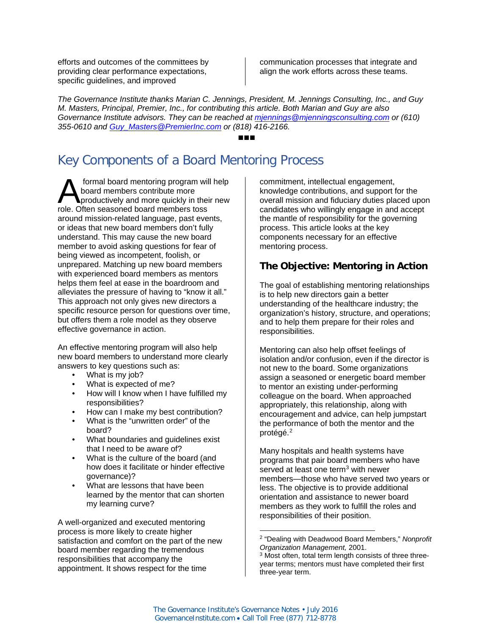efforts and outcomes of the committees by providing clear performance expectations, specific quidelines, and improved

communication processes that integrate and align the work efforts across these teams.

*The Governance Institute thanks Marian C. Jennings, President, M. Jennings Consulting, Inc., and Guy M. Masters, Principal, Premier, Inc., for contributing this article. Both Marian and Guy are also Governance Institute advisors. They can be reached at [mjennings@mjenningsconsulting.com](mailto:mjennings@mjenningsconsulting.com) or (610) 355-0610 and [Guy\\_Masters@PremierInc.com](mailto:Guy_Masters@PremierInc.com) or (818) 416-2166.*

#### ■■■

## Key Components of a Board Mentoring Process

formal board mentoring program will help board members contribute more productively and more quickly in their new **A** formal board mentoring program will<br>board members contribute more<br>role. Often seasoned board members toss around mission-related language, past events, or ideas that new board members don't fully understand. This may cause the new board member to avoid asking questions for fear of being viewed as incompetent, foolish, or unprepared. Matching up new board members with experienced board members as mentors helps them feel at ease in the boardroom and alleviates the pressure of having to "know it all." This approach not only gives new directors a specific resource person for questions over time, but offers them a role model as they observe effective governance in action.

An effective mentoring program will also help new board members to understand more clearly answers to key questions such as:

- What is my job?
- What is expected of me?
- How will I know when I have fulfilled my responsibilities?
- How can I make my best contribution?
- What is the "unwritten order" of the board?
- What boundaries and guidelines exist that I need to be aware of?
- What is the culture of the board (and how does it facilitate or hinder effective governance)?
- What are lessons that have been learned by the mentor that can shorten my learning curve?

<span id="page-3-1"></span><span id="page-3-0"></span>A well-organized and executed mentoring process is more likely to create higher satisfaction and comfort on the part of the new board member regarding the tremendous responsibilities that accompany the appointment. It shows respect for the time

commitment, intellectual engagement, knowledge contributions, and support for the overall mission and fiduciary duties placed upon candidates who willingly engage in and accept the mantle of responsibility for the governing process. This article looks at the key components necessary for an effective mentoring process.

### **The Objective: Mentoring in Action**

The goal of establishing mentoring relationships is to help new directors gain a better understanding of the healthcare industry; the organization's history, structure, and operations; and to help them prepare for their roles and responsibilities.

Mentoring can also help offset feelings of isolation and/or confusion, even if the director is not new to the board. Some organizations assign a seasoned or energetic board member to mentor an existing under-performing colleague on the board. When approached appropriately, this relationship, along with encouragement and advice, can help jumpstart the performance of both the mentor and the protégé.<sup>[2](#page-3-0)</sup>

Many hospitals and health systems have programs that pair board members who have served at least one term<sup>[3](#page-3-1)</sup> with newer members—those who have served two years or less. The objective is to provide additional orientation and assistance to newer board members as they work to fulfill the roles and responsibilities of their position.

 $\overline{a}$ <sup>2</sup> "Dealing with Deadwood Board Members," *Nonprofit Organization Management,* 2001.

<sup>&</sup>lt;sup>3</sup> Most often, total term length consists of three threeyear terms; mentors must have completed their first three-year term.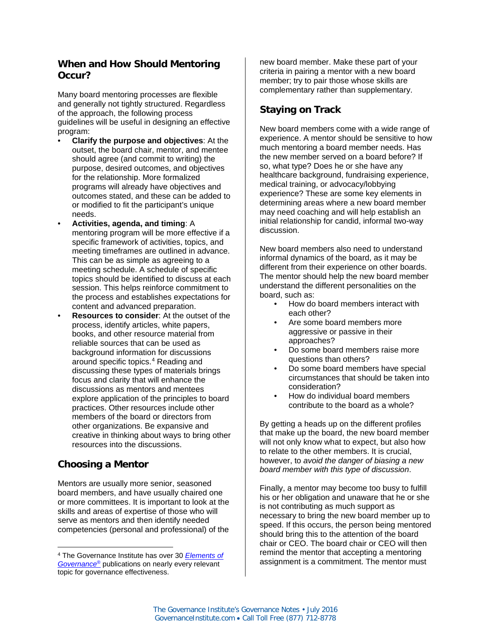### **When and How Should Mentoring Occur?**

Many board mentoring processes are flexible and generally not tightly structured. Regardless of the approach, the following process guidelines will be useful in designing an effective program:

- **Clarify the purpose and objectives**: At the outset, the board chair, mentor, and mentee should agree (and commit to writing) the purpose, desired outcomes, and objectives for the relationship. More formalized programs will already have objectives and outcomes stated, and these can be added to or modified to fit the participant's unique needs.
- **Activities, agenda, and timing**: A mentoring program will be more effective if a specific framework of activities, topics, and meeting timeframes are outlined in advance. This can be as simple as agreeing to a meeting schedule. A schedule of specific topics should be identified to discuss at each session. This helps reinforce commitment to the process and establishes expectations for content and advanced preparation.
- **Resources to consider**: At the outset of the process, identify articles, white papers, books, and other resource material from reliable sources that can be used as background information for discussions around specific topics[.4](#page-4-0) Reading and discussing these types of materials brings focus and clarity that will enhance the discussions as mentors and mentees explore application of the principles to board practices. Other resources include other members of the board or directors from other organizations. Be expansive and creative in thinking about ways to bring other resources into the discussions.

## **Choosing a Mentor**

 $\overline{a}$ 

Mentors are usually more senior, seasoned board members, and have usually chaired one or more committees. It is important to look at the skills and areas of expertise of those who will serve as mentors and then identify needed competencies (personal and professional) of the

new board member. Make these part of your criteria in pairing a mentor with a new board member; try to pair those whose skills are complementary rather than supplementary.

### **Staying on Track**

New board members come with a wide range of experience. A mentor should be sensitive to how much mentoring a board member needs. Has the new member served on a board before? If so, what type? Does he or she have any healthcare background, fundraising experience, medical training, or advocacy/lobbying experience? These are some key elements in determining areas where a new board member may need coaching and will help establish an initial relationship for candid, informal two-way discussion.

New board members also need to understand informal dynamics of the board, as it may be different from their experience on other boards. The mentor should help the new board member understand the different personalities on the board, such as:

- How do board members interact with each other?
- Are some board members more aggressive or passive in their approaches?
- Do some board members raise more questions than others?
- Do some board members have special circumstances that should be taken into consideration?
- How do individual board members contribute to the board as a whole?

By getting a heads up on the different profiles that make up the board, the new board member will not only know what to expect, but also how to relate to the other members. It is crucial, however, to *avoid the danger of biasing a new board member with this type of discussion*.

Finally, a mentor may become too busy to fulfill his or her obligation and unaware that he or she is not contributing as much support as necessary to bring the new board member up to speed. If this occurs, the person being mentored should bring this to the attention of the board chair or CEO. The board chair or CEO will then remind the mentor that accepting a mentoring assignment is a commitment. The mentor must

<span id="page-4-0"></span><sup>4</sup> The Governance Institute has over 30 *[Elements of](http://www.governanceinstitute.com/default.asp?page=TGI_EOG)  [Governance](http://www.governanceinstitute.com/default.asp?page=TGI_EOG)*® publications on nearly every relevant topic for governance effectiveness.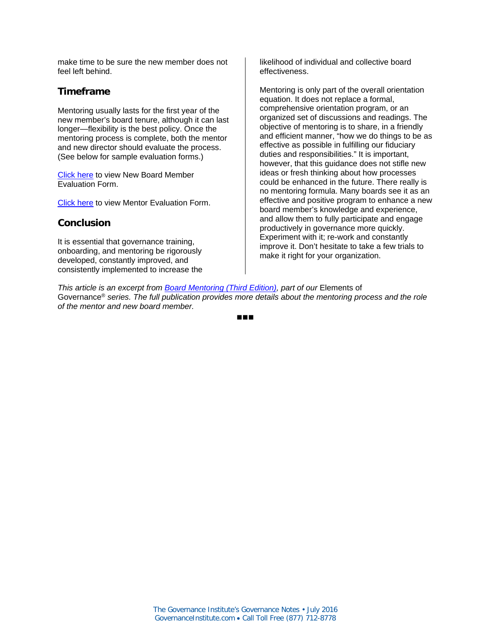make time to be sure the new member does not feel left behind.

#### **Timeframe**

Mentoring usually lasts for the first year of the new member's board tenure, although it can last longer—flexibility is the best policy. Once the mentoring process is complete, both the mentor and new director should evaluate the process. (See below for sample evaluation forms.)

[Click here](https://www.governanceinstitute.com/global_engine/download.asp?fileid=03D843CF-2A8B-4291-BBC6-C0A55A1EB0EB) to view New Board Member Evaluation Form.

[Click here](https://www.governanceinstitute.com/global_engine/download.asp?fileid=54FBDADC-B2B5-403E-A374-26B7B29361C0) to view Mentor Evaluation Form.

#### **Conclusion**

It is essential that governance training, onboarding, and mentoring be rigorously developed, constantly improved, and consistently implemented to increase the likelihood of individual and collective board effectiveness.

Mentoring is only part of the overall orientation equation. It does not replace a formal, comprehensive orientation program, or an organized set of discussions and readings. The objective of mentoring is to share, in a friendly and efficient manner, "how we do things to be as effective as possible in fulfilling our fiduciary duties and responsibilities." It is important, however, that this guidance does not stifle new ideas or fresh thinking about how processes could be enhanced in the future. There really is no mentoring formula. Many boards see it as an effective and positive program to enhance a new board member's knowledge and experience, and allow them to fully participate and engage productively in governance more quickly. Experiment with it; re-work and constantly improve it. Don't hesitate to take a few trials to make it right for your organization.

*This article is an excerpt from [Board Mentoring \(Third Edition\),](http://marketing.nationalresearch.com/acton/attachment/6066/f-0a0c/1/-/-/-/-/EOG_Board%20Mentoring_3rd.pdf?sid=TV2:1eJzoEc9I) part of our* Elements of Governance® *series. The full publication provides more details about the mentoring process and the role of the mentor and new board member.*

■■■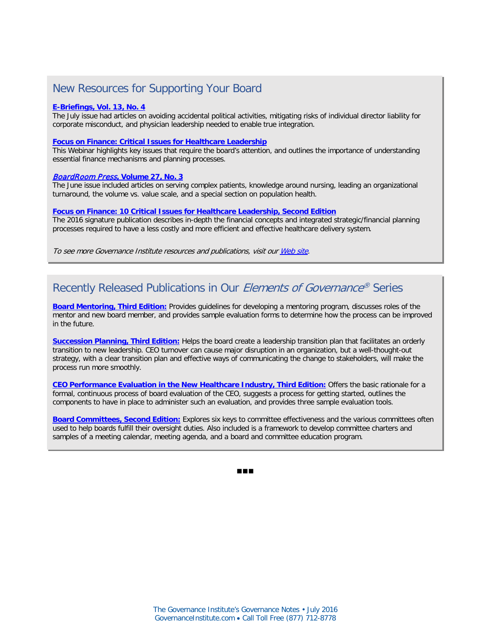## New Resources for Supporting Your Board

#### **[E-Briefings, Vol. 13,](http://www.governanceinstitute.com/page/EBriefingsV13No4) No. 4**

The July issue had articles on avoiding accidental political activities, mitigating risks of individual director liability for corporate misconduct, and physician leadership needed to enable true integration.

#### **[Focus on Finance: Critical Issues for Healthcare Leadership](https://vimeo.com/confedge/review/171013119/d7669f36d3)**

This Webinar highlights key issues that require the board's attention, and outlines the importance of understanding essential finance mechanisms and planning processes.

#### BoardRoom Press**[, Volume 27, No. 3](http://marketing.nationalresearch.com/acton/attachment/6066/f-0a20/1/-/-/-/-/BRP_2016_06_V27N3.pdf?sid=TV2:is5R9X13V)**

The June issue included articles on serving complex patients, knowledge around nursing, leading an organizational turnaround, the volume vs. value scale, and a special section on population health.

#### **[Focus on Finance: 10 Critical Issues for Healthcare Leadership, Second Edition](http://marketing.nationalresearch.com/acton/attachment/6066/f-0a04/1/-/-/-/-/Focus%20on%20Finance_Second%20Edition_Kenneth%20Kaufman.pdf?sid=TV2:is5R9X13V)**

The 2016 signature publication describes in-depth the financial concepts and integrated strategic/financial planning processes required to have a less costly and more efficient and effective healthcare delivery system.

To see more Governance Institute resources and publications, visit ou[r Web site.](http://www.governanceinstitute.com/)

## Recently Released Publications in Our Elements of Governance® Series

**[Board Mentoring, Third Edition:](http://marketing.nationalresearch.com/acton/attachment/6066/f-0a0c/1/-/-/-/-/EOG_Board%20Mentoring_3rd.pdf?sid=TV2:is5R9X13V)** Provides guidelines for developing a mentoring program, discusses roles of the mentor and new board member, and provides sample evaluation forms to determine how the process can be improved in the future.

**[Succession Planning, Third Edition:](http://marketing.nationalresearch.com/acton/attachment/6066/f-09fb/1/-/-/-/-/EOG_Succession%20Planning_3rd.pdf?sid=TV2:is5R9X13V)** Helps the board create a leadership transition plan that facilitates an orderly transition to new leadership. CEO turnover can cause major disruption in an organization, but a well-thought-out strategy, with a clear transition plan and effective ways of communicating the change to stakeholders, will make the process run more smoothly.

**[CEO Performance Evaluation in the New Healthcare Industry, Third Edition:](http://marketing.nationalresearch.com/acton/attachment/6066/f-09f9/1/-/-/-/-/EOG_CEO%20Performance%20Evaluation%20in%20the%20New%20Healthcare%20Industry_3rd.pdf?sid=TV2:is5R9X13V)** Offers the basic rationale for a formal, continuous process of board evaluation of the CEO, suggests a process for getting started, outlines the components to have in place to administer such an evaluation, and provides three sample evaluation tools.

**[Board Committees, Second Edition:](http://marketing.nationalresearch.com/acton/attachment/6066/f-0985/1/-/-/-/-/EOG_Board%20Committees_2nd.pdf?sid=TV2:is5R9X13V)** Explores six keys to committee effectiveness and the various committees often used to help boards fulfill their oversight duties. Also included is a framework to develop committee charters and samples of a meeting calendar, meeting agenda, and a board and committee education program.

■■■